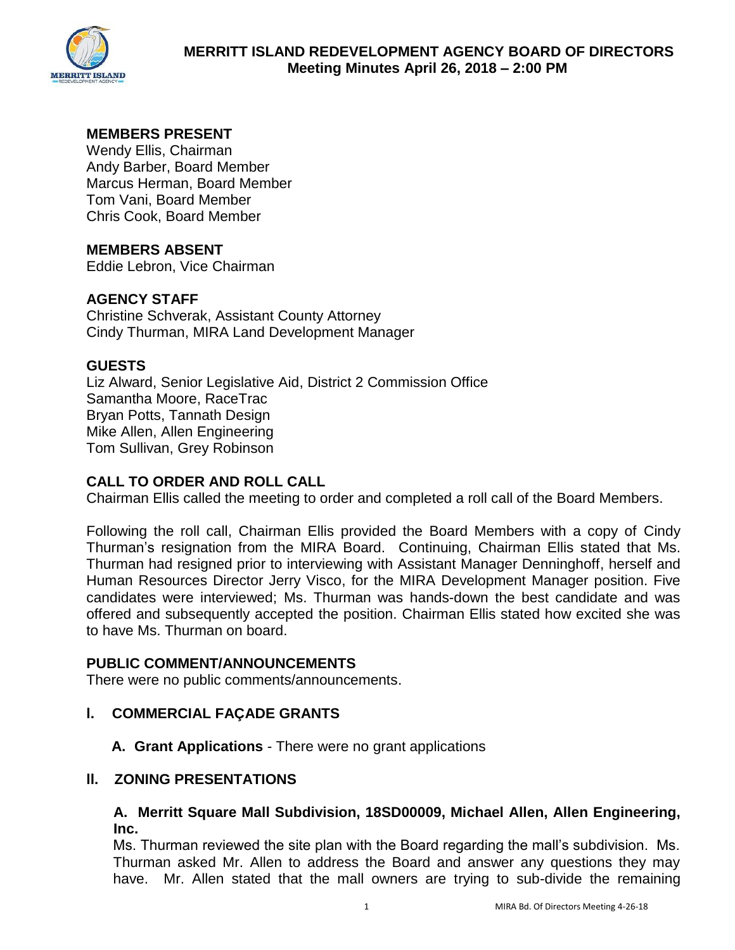

# **MEMBERS PRESENT**

Wendy Ellis, Chairman Andy Barber, Board Member Marcus Herman, Board Member Tom Vani, Board Member Chris Cook, Board Member

### **MEMBERS ABSENT**

Eddie Lebron, Vice Chairman

### **AGENCY STAFF**

Christine Schverak, Assistant County Attorney Cindy Thurman, MIRA Land Development Manager

### **GUESTS**

Liz Alward, Senior Legislative Aid, District 2 Commission Office Samantha Moore, RaceTrac Bryan Potts, Tannath Design Mike Allen, Allen Engineering Tom Sullivan, Grey Robinson

### **CALL TO ORDER AND ROLL CALL**

Chairman Ellis called the meeting to order and completed a roll call of the Board Members.

Following the roll call, Chairman Ellis provided the Board Members with a copy of Cindy Thurman's resignation from the MIRA Board. Continuing, Chairman Ellis stated that Ms. Thurman had resigned prior to interviewing with Assistant Manager Denninghoff, herself and Human Resources Director Jerry Visco, for the MIRA Development Manager position. Five candidates were interviewed; Ms. Thurman was hands-down the best candidate and was offered and subsequently accepted the position. Chairman Ellis stated how excited she was to have Ms. Thurman on board.

#### **PUBLIC COMMENT/ANNOUNCEMENTS**

There were no public comments/announcements.

### **l. COMMERCIAL FAÇADE GRANTS**

**A. Grant Applications** - There were no grant applications

#### **ll. ZONING PRESENTATIONS**

**A. Merritt Square Mall Subdivision, 18SD00009, Michael Allen, Allen Engineering, Inc.** 

Ms. Thurman reviewed the site plan with the Board regarding the mall's subdivision. Ms. Thurman asked Mr. Allen to address the Board and answer any questions they may have. Mr. Allen stated that the mall owners are trying to sub-divide the remaining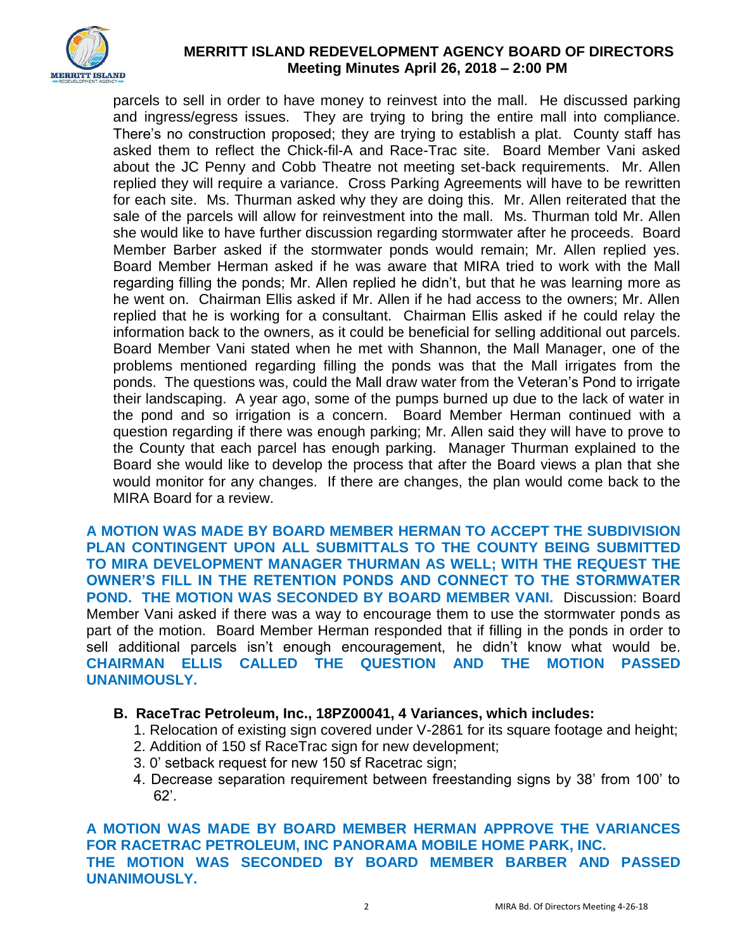

## **MERRITT ISLAND REDEVELOPMENT AGENCY BOARD OF DIRECTORS Meeting Minutes April 26, 2018 – 2:00 PM**

parcels to sell in order to have money to reinvest into the mall. He discussed parking and ingress/egress issues. They are trying to bring the entire mall into compliance. There's no construction proposed; they are trying to establish a plat. County staff has asked them to reflect the Chick-fil-A and Race-Trac site. Board Member Vani asked about the JC Penny and Cobb Theatre not meeting set-back requirements. Mr. Allen replied they will require a variance. Cross Parking Agreements will have to be rewritten for each site. Ms. Thurman asked why they are doing this. Mr. Allen reiterated that the sale of the parcels will allow for reinvestment into the mall. Ms. Thurman told Mr. Allen she would like to have further discussion regarding stormwater after he proceeds. Board Member Barber asked if the stormwater ponds would remain; Mr. Allen replied yes. Board Member Herman asked if he was aware that MIRA tried to work with the Mall regarding filling the ponds; Mr. Allen replied he didn't, but that he was learning more as he went on. Chairman Ellis asked if Mr. Allen if he had access to the owners; Mr. Allen replied that he is working for a consultant. Chairman Ellis asked if he could relay the information back to the owners, as it could be beneficial for selling additional out parcels. Board Member Vani stated when he met with Shannon, the Mall Manager, one of the problems mentioned regarding filling the ponds was that the Mall irrigates from the ponds. The questions was, could the Mall draw water from the Veteran's Pond to irrigate their landscaping. A year ago, some of the pumps burned up due to the lack of water in the pond and so irrigation is a concern. Board Member Herman continued with a question regarding if there was enough parking; Mr. Allen said they will have to prove to the County that each parcel has enough parking. Manager Thurman explained to the Board she would like to develop the process that after the Board views a plan that she would monitor for any changes. If there are changes, the plan would come back to the MIRA Board for a review.

**A MOTION WAS MADE BY BOARD MEMBER HERMAN TO ACCEPT THE SUBDIVISION PLAN CONTINGENT UPON ALL SUBMITTALS TO THE COUNTY BEING SUBMITTED TO MIRA DEVELOPMENT MANAGER THURMAN AS WELL; WITH THE REQUEST THE OWNER'S FILL IN THE RETENTION PONDS AND CONNECT TO THE STORMWATER POND. THE MOTION WAS SECONDED BY BOARD MEMBER VANI.** Discussion: Board Member Vani asked if there was a way to encourage them to use the stormwater ponds as part of the motion. Board Member Herman responded that if filling in the ponds in order to sell additional parcels isn't enough encouragement, he didn't know what would be. **CHAIRMAN ELLIS CALLED THE QUESTION AND THE MOTION PASSED UNANIMOUSLY.** 

- **B. RaceTrac Petroleum, Inc., 18PZ00041, 4 Variances, which includes:** 
	- 1. Relocation of existing sign covered under V-2861 for its square footage and height;
	- 2. Addition of 150 sf RaceTrac sign for new development;
	- 3. 0' setback request for new 150 sf Racetrac sign;
	- 4. Decrease separation requirement between freestanding signs by 38' from 100' to 62'.

**A MOTION WAS MADE BY BOARD MEMBER HERMAN APPROVE THE VARIANCES FOR RACETRAC PETROLEUM, INC PANORAMA MOBILE HOME PARK, INC. THE MOTION WAS SECONDED BY BOARD MEMBER BARBER AND PASSED UNANIMOUSLY.**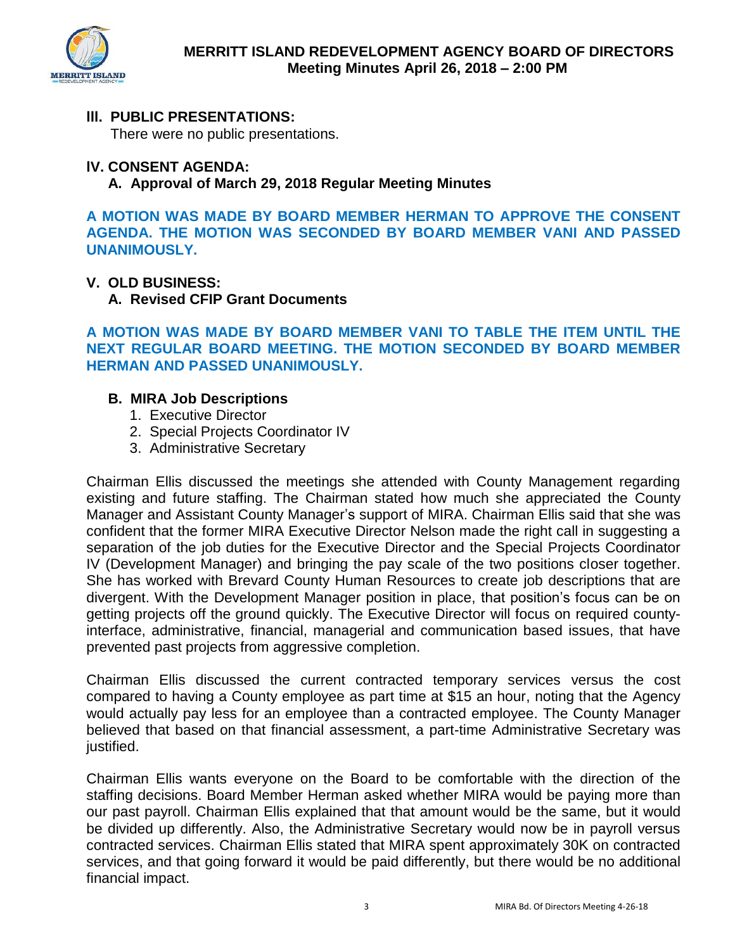

# **lll. PUBLIC PRESENTATIONS:**

There were no public presentations.

### **lV. CONSENT AGENDA:**

**A. Approval of March 29, 2018 Regular Meeting Minutes** 

**A MOTION WAS MADE BY BOARD MEMBER HERMAN TO APPROVE THE CONSENT AGENDA. THE MOTION WAS SECONDED BY BOARD MEMBER VANI AND PASSED UNANIMOUSLY.** 

### **V. OLD BUSINESS:**

**A. Revised CFIP Grant Documents** 

**A MOTION WAS MADE BY BOARD MEMBER VANI TO TABLE THE ITEM UNTIL THE NEXT REGULAR BOARD MEETING. THE MOTION SECONDED BY BOARD MEMBER HERMAN AND PASSED UNANIMOUSLY.** 

### **B. MIRA Job Descriptions**

- 1. Executive Director
- 2. Special Projects Coordinator IV
- 3. Administrative Secretary

Chairman Ellis discussed the meetings she attended with County Management regarding existing and future staffing. The Chairman stated how much she appreciated the County Manager and Assistant County Manager's support of MIRA. Chairman Ellis said that she was confident that the former MIRA Executive Director Nelson made the right call in suggesting a separation of the job duties for the Executive Director and the Special Projects Coordinator IV (Development Manager) and bringing the pay scale of the two positions closer together. She has worked with Brevard County Human Resources to create job descriptions that are divergent. With the Development Manager position in place, that position's focus can be on getting projects off the ground quickly. The Executive Director will focus on required countyinterface, administrative, financial, managerial and communication based issues, that have prevented past projects from aggressive completion.

Chairman Ellis discussed the current contracted temporary services versus the cost compared to having a County employee as part time at \$15 an hour, noting that the Agency would actually pay less for an employee than a contracted employee. The County Manager believed that based on that financial assessment, a part-time Administrative Secretary was justified.

Chairman Ellis wants everyone on the Board to be comfortable with the direction of the staffing decisions. Board Member Herman asked whether MIRA would be paying more than our past payroll. Chairman Ellis explained that that amount would be the same, but it would be divided up differently. Also, the Administrative Secretary would now be in payroll versus contracted services. Chairman Ellis stated that MIRA spent approximately 30K on contracted services, and that going forward it would be paid differently, but there would be no additional financial impact.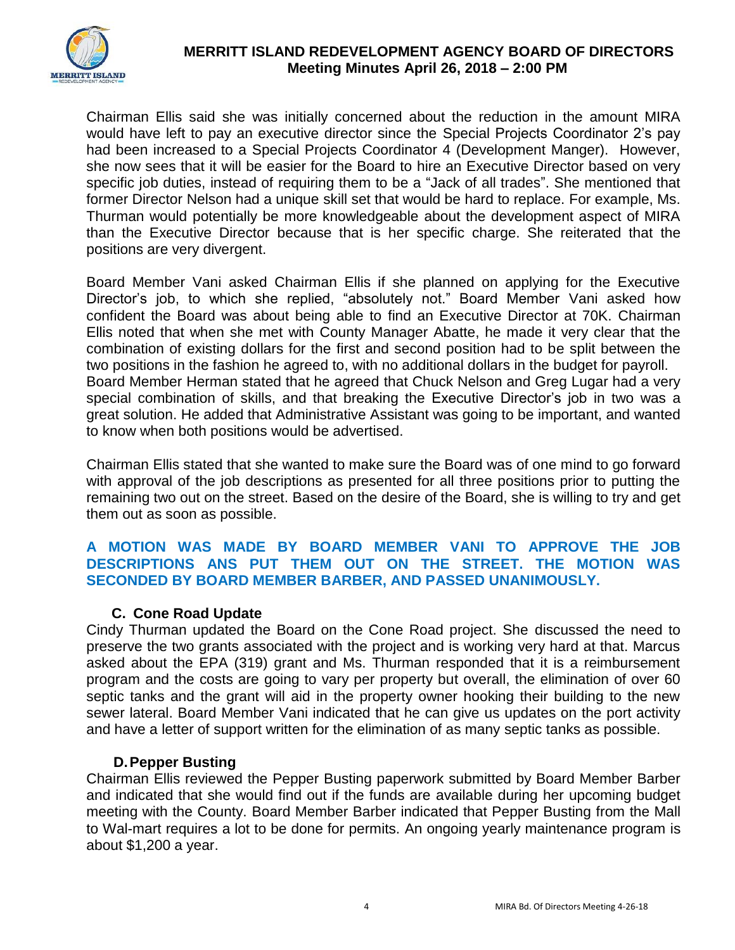

## **MERRITT ISLAND REDEVELOPMENT AGENCY BOARD OF DIRECTORS Meeting Minutes April 26, 2018 – 2:00 PM**

Chairman Ellis said she was initially concerned about the reduction in the amount MIRA would have left to pay an executive director since the Special Projects Coordinator 2's pay had been increased to a Special Projects Coordinator 4 (Development Manger). However, she now sees that it will be easier for the Board to hire an Executive Director based on very specific job duties, instead of requiring them to be a "Jack of all trades". She mentioned that former Director Nelson had a unique skill set that would be hard to replace. For example, Ms. Thurman would potentially be more knowledgeable about the development aspect of MIRA than the Executive Director because that is her specific charge. She reiterated that the positions are very divergent.

Board Member Vani asked Chairman Ellis if she planned on applying for the Executive Director's job, to which she replied, "absolutely not." Board Member Vani asked how confident the Board was about being able to find an Executive Director at 70K. Chairman Ellis noted that when she met with County Manager Abatte, he made it very clear that the combination of existing dollars for the first and second position had to be split between the two positions in the fashion he agreed to, with no additional dollars in the budget for payroll. Board Member Herman stated that he agreed that Chuck Nelson and Greg Lugar had a very special combination of skills, and that breaking the Executive Director's job in two was a great solution. He added that Administrative Assistant was going to be important, and wanted to know when both positions would be advertised.

Chairman Ellis stated that she wanted to make sure the Board was of one mind to go forward with approval of the job descriptions as presented for all three positions prior to putting the remaining two out on the street. Based on the desire of the Board, she is willing to try and get them out as soon as possible.

## **A MOTION WAS MADE BY BOARD MEMBER VANI TO APPROVE THE JOB DESCRIPTIONS ANS PUT THEM OUT ON THE STREET. THE MOTION WAS SECONDED BY BOARD MEMBER BARBER, AND PASSED UNANIMOUSLY.**

### **C. Cone Road Update**

Cindy Thurman updated the Board on the Cone Road project. She discussed the need to preserve the two grants associated with the project and is working very hard at that. Marcus asked about the EPA (319) grant and Ms. Thurman responded that it is a reimbursement program and the costs are going to vary per property but overall, the elimination of over 60 septic tanks and the grant will aid in the property owner hooking their building to the new sewer lateral. Board Member Vani indicated that he can give us updates on the port activity and have a letter of support written for the elimination of as many septic tanks as possible.

### **D. Pepper Busting**

Chairman Ellis reviewed the Pepper Busting paperwork submitted by Board Member Barber and indicated that she would find out if the funds are available during her upcoming budget meeting with the County. Board Member Barber indicated that Pepper Busting from the Mall to Wal-mart requires a lot to be done for permits. An ongoing yearly maintenance program is about \$1,200 a year.